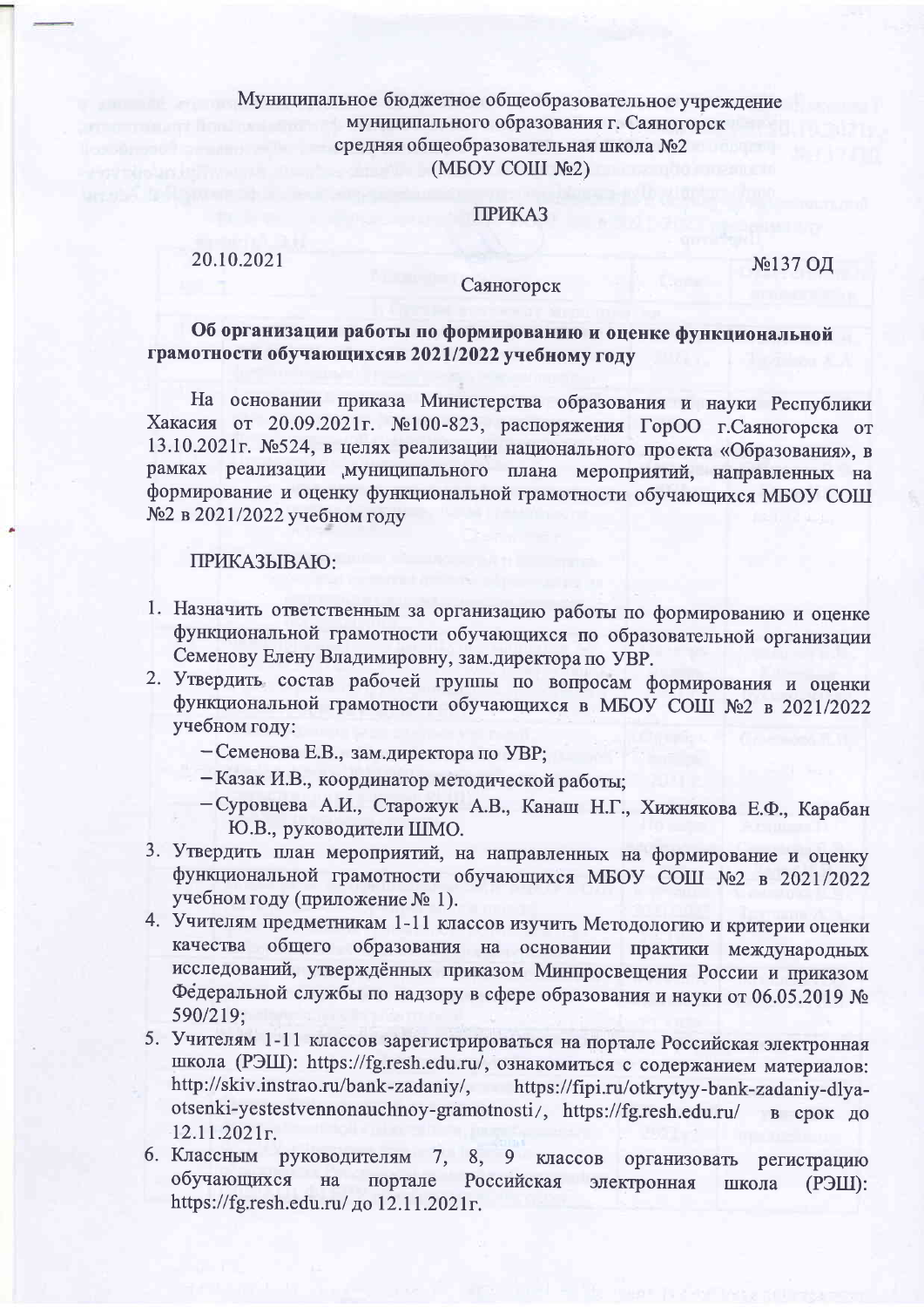# Муниципальное бюджетное общеобразовательное учреждение муниципального образования г. Саяногорск средняя общеобразовательная школа №2  $(MBOY COIII$  No2)

### **ПРИКАЗ**

20.10.2021

№137 ОД

#### Саяногорск

## Об организации работы по формированию и оценке функциональной грамотности обучающихсяв 2021/2022 учебному году

На основании приказа Министерства образования и науки Республики Хакасия от 20.09.2021г. №100-823, распоряжения ГорОО г.Саяногорска от 13.10.2021г. №524, в целях реализации национального проекта «Образования», в рамках реализации муниципального плана мероприятий, направленных на формирование и оценку функциональной грамотности обучающихся МБОУ СОШ №2 в 2021/2022 учебном году

#### ПРИКАЗЫВАЮ:

- 1. Назначить ответственным за организацию работы по формированию и оценке функциональной грамотности обучающихся по образовательной организации Семенову Елену Владимировну, зам.директора по УВР.
- 2. Утвердить состав рабочей группы по вопросам формирования и оценки функциональной грамотности обучающихся в МБОУ СОШ №2 в 2021/2022 учебном году:
	- Семенова Е.В., зам.директора по УВР;
	- Казак И.В., координатор методической работы:
	- Суровцева А.И., Старожук А.В., Канаш Н.Г., Хижнякова Е.Ф., Карабан Ю.В., руководители ШМО.
- 3. Утвердить план мероприятий, на направленных на формирование и оценку функциональной грамотности обучающихся МБОУ СОШ №2 в 2021/2022 учебном году (приложение № 1).
- 4. Учителям предметникам 1-11 классов изучить Методологию и критерии оценки качества общего образования на основании практики международных исследований, утверждённых приказом Минпросвещения России и приказом Федеральной службы по надзору в сфере образования и науки от 06.05.2019 № 590/219:
- 5. Учителям 1-11 классов зарегистрироваться на портале Российская электронная школа (РЭШ): https://fg.resh.edu.ru/, ознакомиться с содержанием материалов: http://skiv.instrao.ru/bank-zadaniy/, https://fipi.ru/otkrytyy-bank-zadaniy-dlyaotsenki-yestestvennonauchnoy-gramotnosti/, https://fg.resh.edu.ru/ в срок до  $12.11.2021$ r.
- 6. Классным руководителям 7, 8, 9 классов организовать регистрацию обучающихся на портале Российская электронная школа  $(P3III)$ : https://fg.resh.edu.ru/ до 12.11.2021г.